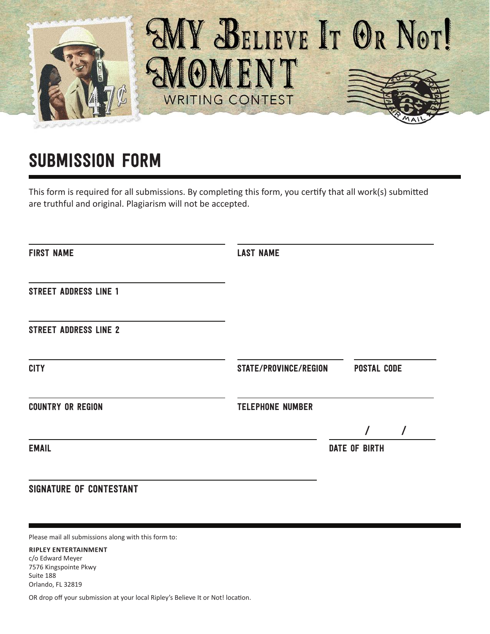

## SUBMISSION FORM

This form is required for all submissions. By completing this form, you certify that all work(s) submitted are truthful and original. Plagiarism will not be accepted.

| <b>LAST NAME</b>        |                      |                       |
|-------------------------|----------------------|-----------------------|
|                         |                      |                       |
|                         |                      |                       |
|                         | <b>POSTAL CODE</b>   |                       |
| <b>TELEPHONE NUMBER</b> |                      |                       |
|                         |                      | $\prime$              |
|                         | <b>DATE OF BIRTH</b> |                       |
|                         |                      |                       |
|                         |                      | STATE/PROVINCE/REGION |

Please mail all submissions along with this form to:

## **RIPLEY ENTERTAINMENT** c/o Edward Meyer

7576 Kingspointe Pkwy Suite 188 Orlando, FL 32819

OR drop off your submission at your local Ripley's Believe It or Not! location.